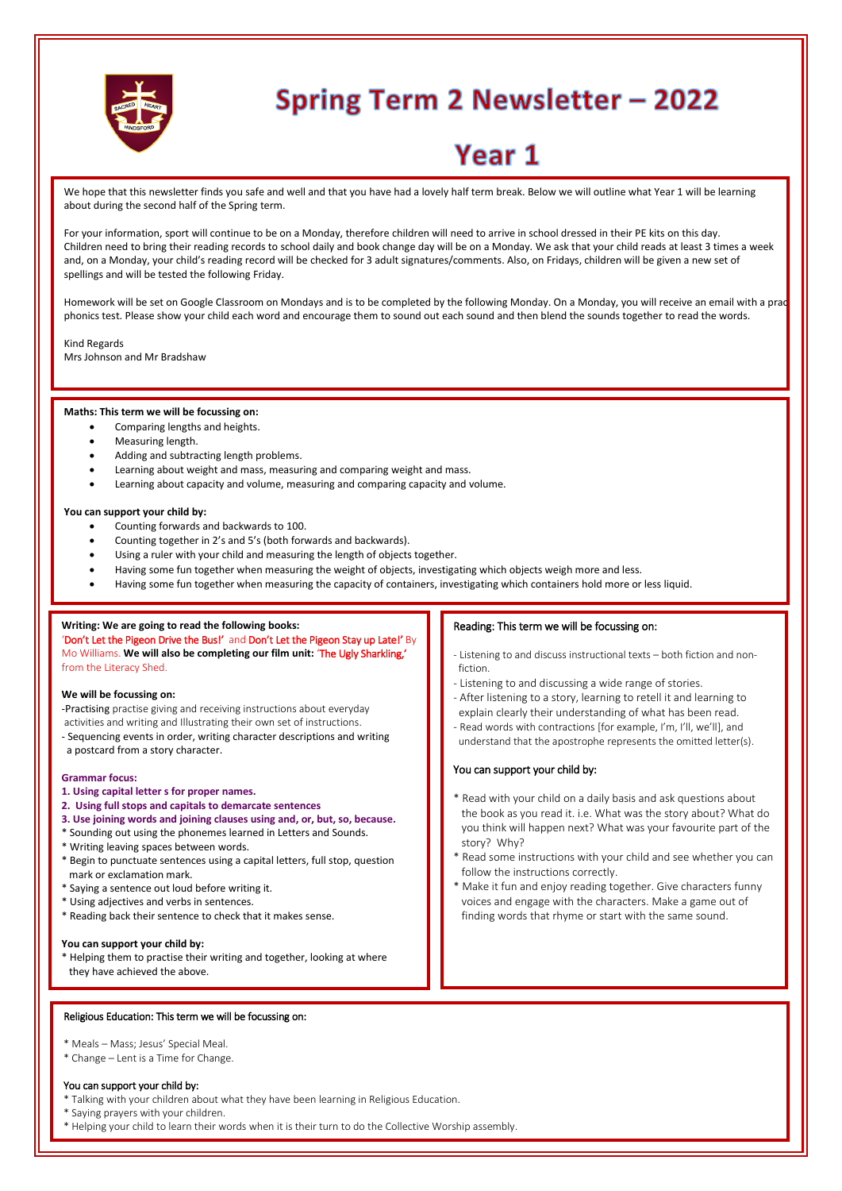

# **Spring Term 2 Newsletter - 2022**

# Year 1

We hope that this newsletter finds you safe and well and that you have had a lovely half term break. Below we will outline what Year 1 will be learning about during the second half of the Spring term.

For your information, sport will continue to be on a Monday, therefore children will need to arrive in school dressed in their PE kits on this day. Children need to bring their reading records to school daily and book change day will be on a Monday. We ask that your child reads at least 3 times a week and, on a Monday, your child's reading record will be checked for 3 adult signatures/comments. Also, on Fridays, children will be given a new set of spellings and will be tested the following Friday.

Homework will be set on Google Classroom on Mondays and is to be completed by the following Monday. On a Monday, you will receive an email with a practise phonics test. Please show your child each word and encourage them to sound out each sound and then blend the sounds together to read the words.

Kind Regards

Mrs Johnson and Mr Bradshaw

#### **Maths: This term we will be focussing on:**

- Comparing lengths and heights.
- Measuring length.
- Adding and subtracting length problems.
- Learning about weight and mass, measuring and comparing weight and mass.
- Learning about capacity and volume, measuring and comparing capacity and volume.

#### **You can support your child by:**

- Counting forwards and backwards to 100.
- Counting together in 2's and 5's (both forwards and backwards).
- Using a ruler with your child and measuring the length of objects together.
- Having some fun together when measuring the weight of objects, investigating which objects weigh more and less.
- Having some fun together when measuring the capacity of containers, investigating which containers hold more or less liquid.

#### **Writing: We are going to read the following books:**

'Don't Let the Pigeon Drive the Bus!' and Don't Let the Pigeon Stay up Late!' By Mo Williams. **We will also be completing our film unit:** 'The Ugly Sharkling,' from the Literacy Shed.

#### **We will be focussing on:**

- -Practising practise giving and receiving instructions about everyday
- activities and writing and Illustrating their own set of instructions.
- Sequencing events in order, writing character descriptions and writing a postcard from a story character.

#### **Grammar focus:**

- **1. Using capital letter s for proper names.**
- **2. Using full stops and capitals to demarcate sentences**
- **3. Use joining words and joining clauses using and, or, but, so, because.**
- Sounding out using the phonemes learned in Letters and Sounds.
- \* Writing leaving spaces between words.
- \* Begin to punctuate sentences using a capital letters, full stop, question mark or exclamation mark.
- \* Saying a sentence out loud before writing it.
- \* Using adjectives and verbs in sentences.
- \* Reading back their sentence to check that it makes sense.

#### **You can support your child by:**

\* Helping them to practise their writing and together, looking at where they have achieved the above.

#### Religious Education: This term we will be focussing on:

- \* Meals Mass; Jesus' Special Meal.
- \* Change Lent is a Time for Change.

#### You can support your child by:

- Talking with your children about what they have been learning in Religious Education.
- \* Saying prayers with your children.
- \* Helping your child to learn their words when it is their turn to do the Collective Worship assembly.

# Reading: This term we will be focussing on:

- Listening to and discuss instructional texts both fiction and non fiction.
- Listening to and discussing a wide range of stories.
- After listening to a story, learning to retell it and learning to explain clearly their understanding of what has been read.
- Read words with contractions [for example, I'm, I'll, we'll], and understand that the apostrophe represents the omitted letter(s).

#### You can support your child by:

- \* Read with your child on a daily basis and ask questions about the book as you read it. i.e. What was the story about? What do you think will happen next? What was your favourite part of the story? Why?
- \* Read some instructions with your child and see whether you can follow the instructions correctly.
- \* Make it fun and enjoy reading together. Give characters funny voices and engage with the characters. Make a game out of finding words that rhyme or start with the same sound.